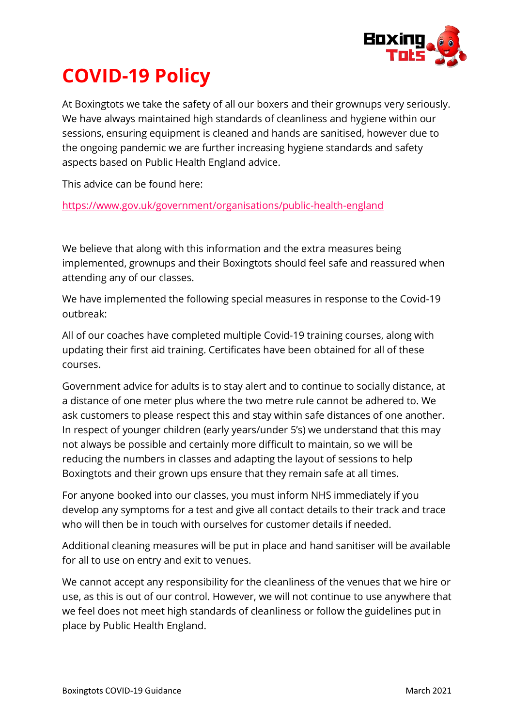

## **COVID-19 Policy**

At Boxingtots we take the safety of all our boxers and their grownups very seriously. We have always maintained high standards of cleanliness and hygiene within our sessions, ensuring equipment is cleaned and hands are sanitised, however due to the ongoing pandemic we are further increasing hygiene standards and safety aspects based on Public Health England advice.

This advice can be found here:

<https://www.gov.uk/government/organisations/public-health-england>

We believe that along with this information and the extra measures being implemented, grownups and their Boxingtots should feel safe and reassured when attending any of our classes.

We have implemented the following special measures in response to the Covid-19 outbreak:

All of our coaches have completed multiple Covid-19 training courses, along with updating their first aid training. Certificates have been obtained for all of these courses.

Government advice for adults is to stay alert and to continue to socially distance, at a distance of one meter plus where the two metre rule cannot be adhered to. We ask customers to please respect this and stay within safe distances of one another. In respect of younger children (early years/under 5's) we understand that this may not always be possible and certainly more difficult to maintain, so we will be reducing the numbers in classes and adapting the layout of sessions to help Boxingtots and their grown ups ensure that they remain safe at all times.

For anyone booked into our classes, you must inform NHS immediately if you develop any symptoms for a test and give all contact details to their track and trace who will then be in touch with ourselves for customer details if needed.

Additional cleaning measures will be put in place and hand sanitiser will be available for all to use on entry and exit to venues.

We cannot accept any responsibility for the cleanliness of the venues that we hire or use, as this is out of our control. However, we will not continue to use anywhere that we feel does not meet high standards of cleanliness or follow the guidelines put in place by Public Health England.